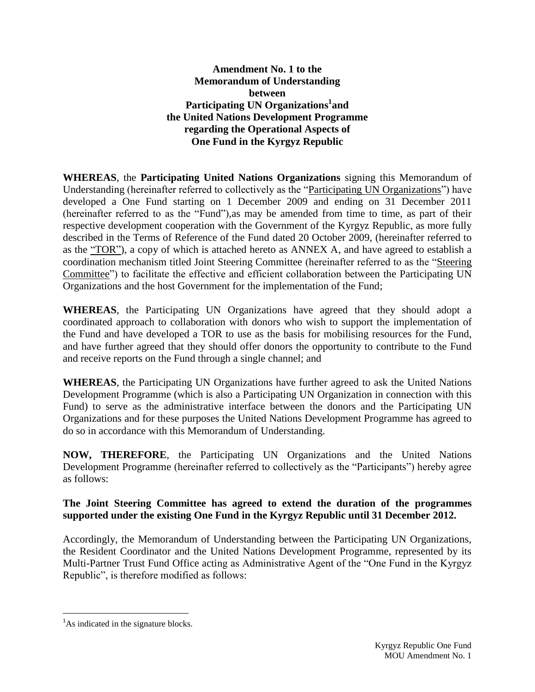### **Amendment No. 1 to the Memorandum of Understanding between Participating UN Organizations 1 and the United Nations Development Programme regarding the Operational Aspects of One Fund in the Kyrgyz Republic**

**WHEREAS**, the **Participating United Nations Organizations** signing this Memorandum of Understanding (hereinafter referred to collectively as the "Participating UN Organizations") have developed a One Fund starting on 1 December 2009 and ending on 31 December 2011 (hereinafter referred to as the "Fund"),as may be amended from time to time, as part of their respective development cooperation with the Government of the Kyrgyz Republic, as more fully described in the Terms of Reference of the Fund dated 20 October 2009, (hereinafter referred to as the "TOR"), a copy of which is attached hereto as ANNEX A, and have agreed to establish a coordination mechanism titled Joint Steering Committee (hereinafter referred to as the "Steering Committee") to facilitate the effective and efficient collaboration between the Participating UN Organizations and the host Government for the implementation of the Fund;

**WHEREAS**, the Participating UN Organizations have agreed that they should adopt a coordinated approach to collaboration with donors who wish to support the implementation of the Fund and have developed a TOR to use as the basis for mobilising resources for the Fund, and have further agreed that they should offer donors the opportunity to contribute to the Fund and receive reports on the Fund through a single channel; and

**WHEREAS**, the Participating UN Organizations have further agreed to ask the United Nations Development Programme (which is also a Participating UN Organization in connection with this Fund) to serve as the administrative interface between the donors and the Participating UN Organizations and for these purposes the United Nations Development Programme has agreed to do so in accordance with this Memorandum of Understanding.

**NOW, THEREFORE**, the Participating UN Organizations and the United Nations Development Programme (hereinafter referred to collectively as the "Participants") hereby agree as follows:

## **The Joint Steering Committee has agreed to extend the duration of the programmes supported under the existing One Fund in the Kyrgyz Republic until 31 December 2012.**

Accordingly, the Memorandum of Understanding between the Participating UN Organizations, the Resident Coordinator and the United Nations Development Programme, represented by its Multi-Partner Trust Fund Office acting as Administrative Agent of the "One Fund in the Kyrgyz Republic", is therefore modified as follows:

 $\overline{a}$ 

<sup>&</sup>lt;sup>1</sup>As indicated in the signature blocks.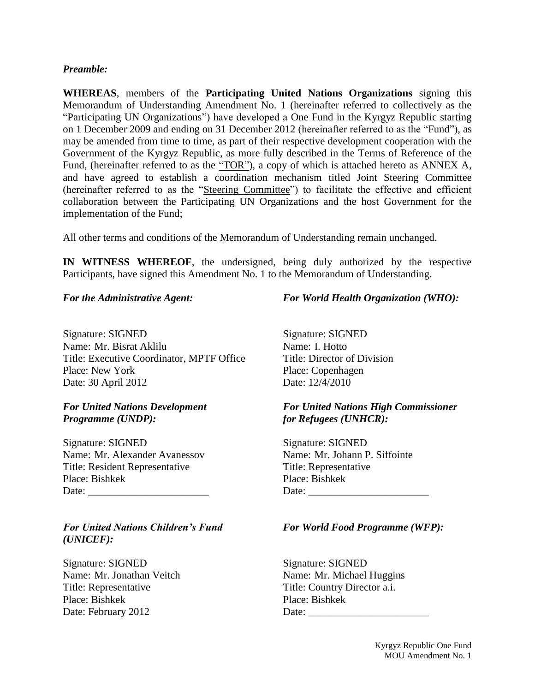### *Preamble:*

**WHEREAS**, members of the **Participating United Nations Organizations** signing this Memorandum of Understanding Amendment No. 1 (hereinafter referred to collectively as the "Participating UN Organizations") have developed a One Fund in the Kyrgyz Republic starting on 1 December 2009 and ending on 31 December 2012 (hereinafter referred to as the "Fund"), as may be amended from time to time, as part of their respective development cooperation with the Government of the Kyrgyz Republic, as more fully described in the Terms of Reference of the Fund, (hereinafter referred to as the "TOR"), a copy of which is attached hereto as ANNEX A, and have agreed to establish a coordination mechanism titled Joint Steering Committee (hereinafter referred to as the "Steering Committee") to facilitate the effective and efficient collaboration between the Participating UN Organizations and the host Government for the implementation of the Fund;

All other terms and conditions of the Memorandum of Understanding remain unchanged.

**IN WITNESS WHEREOF**, the undersigned, being duly authorized by the respective Participants, have signed this Amendment No. 1 to the Memorandum of Understanding.

#### *For the Administrative Agent:*

Signature: SIGNED Name: Mr. Bisrat Aklilu Title: Executive Coordinator, MPTF Office Place: New York Date: 30 April 2012

### *For United Nations Development Programme (UNDP):*

Signature: SIGNED Name: Mr. Alexander Avanessov Title: Resident Representative Place: Bishkek Date:

*For United Nations Children's Fund (UNICEF):*

Signature: SIGNED Name: Mr. Jonathan Veitch Title: Representative Place: Bishkek Date: February 2012

### *For World Health Organization (WHO):*

Signature: SIGNED Name: I. Hotto Title: Director of Division Place: Copenhagen Date: 12/4/2010

### *For United Nations High Commissioner for Refugees (UNHCR):*

Signature: SIGNED Name: Mr. Johann P. Siffointe Title: Representative Place: Bishkek Date:

### *For World Food Programme (WFP):*

Signature: SIGNED Name: Mr. Michael Huggins Title: Country Director a.i. Place: Bishkek  $Date:$